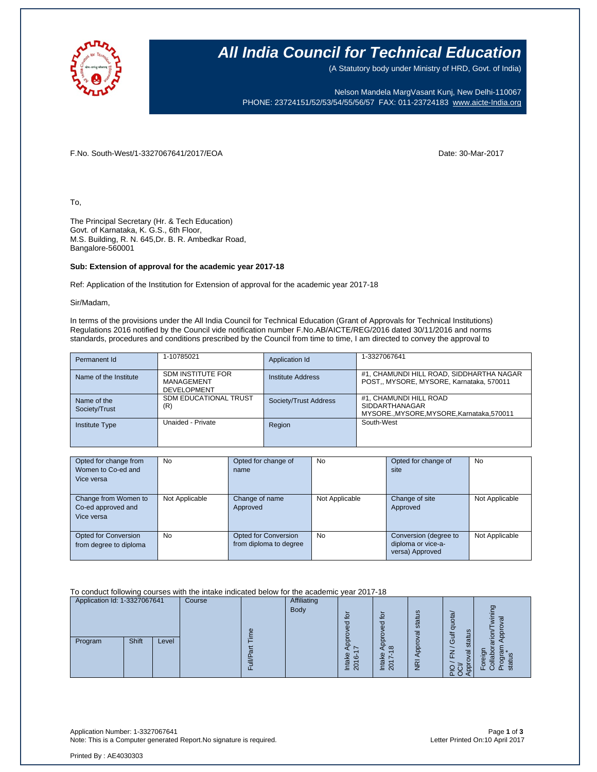

### **All India Council for Technical Education**

(A Statutory body under Ministry of HRD, Govt. of India)

Nelson Mandela MargVasant Kunj, New Delhi-110067 PHONE: 23724151/52/53/54/55/56/57 FAX: 011-23724183 [www.aicte-India.org](http://www.aicte-india.org/)

F.No. South-West/1-3327067641/2017/EOA Date: 30-Mar-2017

To,

The Principal Secretary (Hr. & Tech Education) Govt. of Karnataka, K. G.S., 6th Floor, M.S. Building, R. N. 645,Dr. B. R. Ambedkar Road, Bangalore-560001

#### **Sub: Extension of approval for the academic year 2017-18**

Ref: Application of the Institution for Extension of approval for the academic year 2017-18

Sir/Madam,

In terms of the provisions under the All India Council for Technical Education (Grant of Approvals for Technical Institutions) Regulations 2016 notified by the Council vide notification number F.No.AB/AICTE/REG/2016 dated 30/11/2016 and norms standards, procedures and conditions prescribed by the Council from time to time, I am directed to convey the approval to

| Permanent Id                 | 1-10785021                                                   | Application Id        | 1-3327067641                                                                                  |
|------------------------------|--------------------------------------------------------------|-----------------------|-----------------------------------------------------------------------------------------------|
| Name of the Institute        | <b>SDM INSTITUTE FOR</b><br>MANAGEMENT<br><b>DEVELOPMENT</b> | Institute Address     | #1, CHAMUNDI HILL ROAD, SIDDHARTHA NAGAR<br>POST., MYSORE, MYSORE, Karnataka, 570011          |
| Name of the<br>Society/Trust | SDM EDUCATIONAL TRUST<br>(R)                                 | Society/Trust Address | #1, CHAMUNDI HILL ROAD<br><b>SIDDARTHANAGAR</b><br>MYSORE., MYSORE, MYSORE, Karnataka, 570011 |
| Institute Type               | Unaided - Private                                            | Region                | South-West                                                                                    |

| Opted for change from  | <b>No</b>      | Opted for change of    | No             | Opted for change of   | No             |
|------------------------|----------------|------------------------|----------------|-----------------------|----------------|
| Women to Co-ed and     |                | name                   |                | site                  |                |
| Vice versa             |                |                        |                |                       |                |
|                        |                |                        |                |                       |                |
| Change from Women to   | Not Applicable | Change of name         | Not Applicable | Change of site        | Not Applicable |
| Co-ed approved and     |                | Approved               |                | Approved              |                |
| Vice versa             |                |                        |                |                       |                |
|                        |                |                        |                |                       |                |
| Opted for Conversion   | <b>No</b>      | Opted for Conversion   | <b>No</b>      | Conversion (degree to | Not Applicable |
| from degree to diploma |                | from diploma to degree |                | diploma or vice-a-    |                |
|                        |                |                        |                | versa) Approved       |                |

To conduct following courses with the intake indicated below for the academic year 2017-18

| Application Id: 1-3327067641 |       | Course | <b>Affiliating</b> |      |                          |                     |                         |                         |                                |
|------------------------------|-------|--------|--------------------|------|--------------------------|---------------------|-------------------------|-------------------------|--------------------------------|
|                              |       |        |                    | Body | $\circ$                  |                     | $\omega$                | .<br>ሚ                  | ත                              |
|                              |       |        |                    |      | ਠ                        | $\overline{c}$<br>ರ | stat                    | quo                     |                                |
|                              |       |        |                    |      |                          | $\overline{a}$      | σ                       | ದ                       | o                              |
| Program                      | Shift | Level  |                    |      |                          |                     |                         | <b>Jico</b><br>≂<br>sta |                                |
|                              |       |        |                    |      | ω                        | $\infty$<br>o       | 8                       | ⇁<br>╯<br>u.            |                                |
|                              |       |        |                    |      | ന<br>$\overline{\omega}$ | र्त                 | $\overline{\mathsf{E}}$ |                         | $\overline{\mathfrak{a}}$<br>o |
|                              |       |        |                    |      | ≐<br>$\overline{N}$      | $\sim$<br>≐         |                         | πŏ                      | т.<br>ō                        |

Application Number: 1-3327067641 Page **1** of **3** Note: This is a Computer generated Report. No signature is required.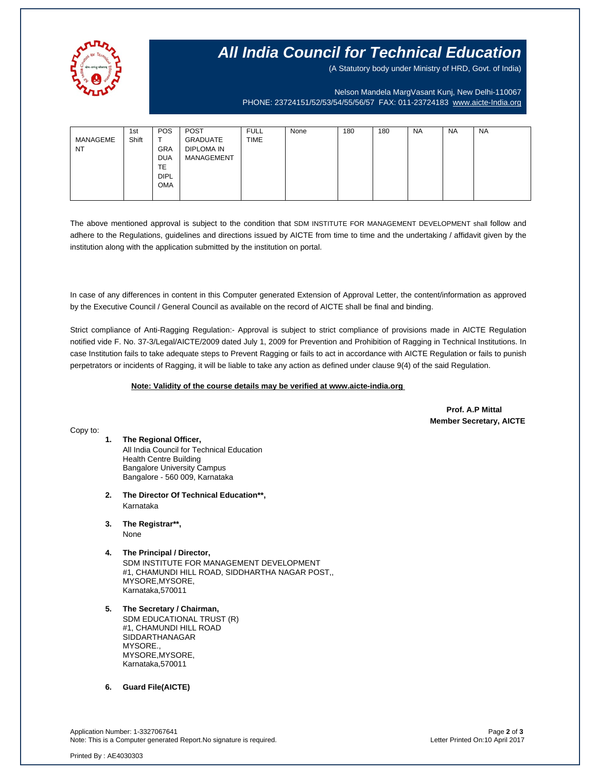

## **All India Council for Technical Education**

(A Statutory body under Ministry of HRD, Govt. of India)

Nelson Mandela MargVasant Kunj, New Delhi-110067 PHONE: 23724151/52/53/54/55/56/57 FAX: 011-23724183 [www.aicte-India.org](http://www.aicte-india.org/)

| MANAGEME<br><b>NT</b> | 1st<br>Shift | <b>POS</b><br>$\mathbf$<br><b>GRA</b><br><b>DUA</b><br><b>TE</b> | <b>POST</b><br>GRADUATE<br><b>DIPLOMA IN</b><br>MANAGEMENT | <b>FULL</b><br><b>TIME</b> | None | 180 | 180 | <b>NA</b> | <b>NA</b> | <b>NA</b> |
|-----------------------|--------------|------------------------------------------------------------------|------------------------------------------------------------|----------------------------|------|-----|-----|-----------|-----------|-----------|
|                       |              | <b>DIPL</b><br><b>OMA</b>                                        |                                                            |                            |      |     |     |           |           |           |

The above mentioned approval is subject to the condition that SDM INSTITUTE FOR MANAGEMENT DEVELOPMENT shall follow and adhere to the Regulations, guidelines and directions issued by AICTE from time to time and the undertaking / affidavit given by the institution along with the application submitted by the institution on portal.

In case of any differences in content in this Computer generated Extension of Approval Letter, the content/information as approved by the Executive Council / General Council as available on the record of AICTE shall be final and binding.

Strict compliance of Anti-Ragging Regulation:- Approval is subject to strict compliance of provisions made in AICTE Regulation notified vide F. No. 37-3/Legal/AICTE/2009 dated July 1, 2009 for Prevention and Prohibition of Ragging in Technical Institutions. In case Institution fails to take adequate steps to Prevent Ragging or fails to act in accordance with AICTE Regulation or fails to punish perpetrators or incidents of Ragging, it will be liable to take any action as defined under clause 9(4) of the said Regulation.

#### **Note: Validity of the course details may be verified at www.aicte-india.org**

 **Prof. A.P Mittal Member Secretary, AICTE**

Copy to:

- **1. The Regional Officer,** All India Council for Technical Education Health Centre Building Bangalore University Campus Bangalore - 560 009, Karnataka
- **2. The Director Of Technical Education\*\*,** Karnataka
- **3. The Registrar\*\*,** None
- **4. The Principal / Director,** SDM INSTITUTE FOR MANAGEMENT DEVELOPMENT #1, CHAMUNDI HILL ROAD, SIDDHARTHA NAGAR POST,, MYSORE,MYSORE, Karnataka,570011
- **5. The Secretary / Chairman,** SDM EDUCATIONAL TRUST (R) #1, CHAMUNDI HILL ROAD SIDDARTHANAGAR MYSORE., MYSORE,MYSORE, Karnataka,570011
- **6. Guard File(AICTE)**

Application Number: 1-3327067641 Page **2** of **3** Note: This is a Computer generated Report.No signature is required.